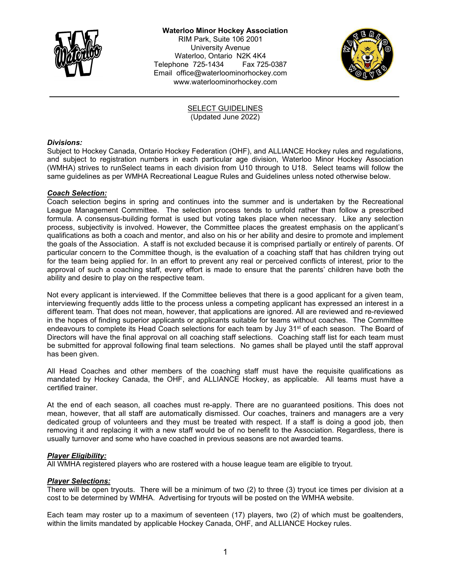

### **Waterloo Minor Hockey Association**

RIM Park, Suite 106 2001 University Avenue Waterloo, Ontario N2K 4K4 Telephone 725-1434 Fax 725-0387 Email office@waterloominorhockey.com [www.waterloominorhockey.com](http://www.waterloominorhockey.com/)



SELECT GUIDELINES (Updated June 2022)

# *Divisions:*

Subject to Hockey Canada, Ontario Hockey Federation (OHF), and ALLIANCE Hockey rules and regulations, and subject to registration numbers in each particular age division, Waterloo Minor Hockey Association (WMHA) strives to runSelect teams in each division from U10 through to U18. Select teams will follow the same guidelines as per WMHA Recreational League Rules and Guidelines unless noted otherwise below.

# *Coach Selection:*

Coach selection begins in spring and continues into the summer and is undertaken by the Recreational League Management Committee. The selection process tends to unfold rather than follow a prescribed formula. A consensus-building format is used but voting takes place when necessary. Like any selection process, subjectivity is involved. However, the Committee places the greatest emphasis on the applicant's qualifications as both a coach and mentor, and also on his or her ability and desire to promote and implement the goals of the Association. A staff is not excluded because it is comprised partially or entirely of parents. Of particular concern to the Committee though, is the evaluation of a coaching staff that has children trying out for the team being applied for. In an effort to prevent any real or perceived conflicts of interest, prior to the approval of such a coaching staff, every effort is made to ensure that the parents' children have both the ability and desire to play on the respective team.

Not every applicant is interviewed. If the Committee believes that there is a good applicant for a given team, interviewing frequently adds little to the process unless a competing applicant has expressed an interest in a different team. That does not mean, however, that applications are ignored. All are reviewed and re-reviewed in the hopes of finding superior applicants or applicants suitable for teams without coaches. The Committee endeavours to complete its Head Coach selections for each team by Juy 31<sup>st</sup> of each season. The Board of Directors will have the final approval on all coaching staff selections. Coaching staff list for each team must be submitted for approval following final team selections. No games shall be played until the staff approval has been given.

All Head Coaches and other members of the coaching staff must have the requisite qualifications as mandated by Hockey Canada, the OHF, and ALLIANCE Hockey, as applicable. All teams must have a certified trainer.

At the end of each season, all coaches must re-apply. There are no guaranteed positions. This does not mean, however, that all staff are automatically dismissed. Our coaches, trainers and managers are a very dedicated group of volunteers and they must be treated with respect. If a staff is doing a good job, then removing it and replacing it with a new staff would be of no benefit to the Association. Regardless, there is usually turnover and some who have coached in previous seasons are not awarded teams.

# *Player Eligibility:*

All WMHA registered players who are rostered with a house league team are eligible to tryout.

# *Player Selections:*

There will be open tryouts. There will be a minimum of two (2) to three (3) tryout ice times per division at a cost to be determined by WMHA. Advertising for tryouts will be posted on the WMHA website.

Each team may roster up to a maximum of seventeen (17) players, two (2) of which must be goaltenders, within the limits mandated by applicable Hockey Canada, OHF, and ALLIANCE Hockey rules.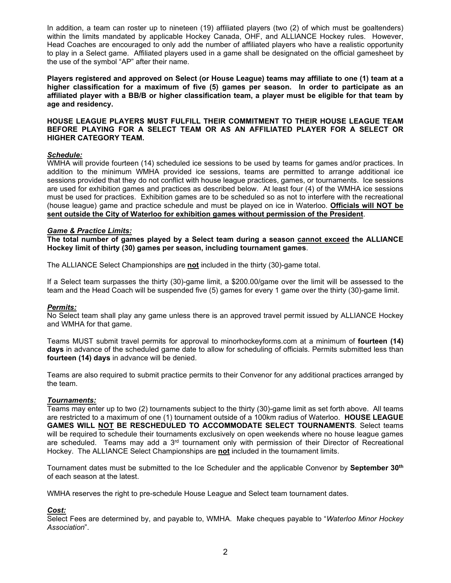In addition, a team can roster up to nineteen (19) affiliated players (two (2) of which must be goaltenders) within the limits mandated by applicable Hockey Canada, OHF, and ALLIANCE Hockey rules. However, Head Coaches are encouraged to only add the number of affiliated players who have a realistic opportunity to play in a Select game. Affiliated players used in a game shall be designated on the official gamesheet by the use of the symbol "AP" after their name.

**Players registered and approved on Select (or House League) teams may affiliate to one (1) team at a higher classification for a maximum of five (5) games per season. In order to participate as an affiliated player with a BB/B or higher classification team, a player must be eligible for that team by age and residency.**

### **HOUSE LEAGUE PLAYERS MUST FULFILL THEIR COMMITMENT TO THEIR HOUSE LEAGUE TEAM BEFORE PLAYING FOR A SELECT TEAM OR AS AN AFFILIATED PLAYER FOR A SELECT OR HIGHER CATEGORY TEAM.**

### *Schedule:*

WMHA will provide fourteen (14) scheduled ice sessions to be used by teams for games and/or practices. In addition to the minimum WMHA provided ice sessions, teams are permitted to arrange additional ice sessions provided that they do not conflict with house league practices, games, or tournaments. Ice sessions are used for exhibition games and practices as described below. At least four (4) of the WMHA ice sessions must be used for practices. Exhibition games are to be scheduled so as not to interfere with the recreational (house league) game and practice schedule and must be played on ice in Waterloo. **Officials will NOT be sent outside the City of Waterloo for exhibition games without permission of the President**.

### *Game & Practice Limits:*

**The total number of games played by a Select team during a season cannot exceed the ALLIANCE Hockey limit of thirty (30) games per season, including tournament games**.

The ALLIANCE Select Championships are **not** included in the thirty (30)-game total.

If a Select team surpasses the thirty (30)-game limit, a \$200.00/game over the limit will be assessed to the team and the Head Coach will be suspended five (5) games for every 1 game over the thirty (30)-game limit.

### *Permits:*

No Select team shall play any game unless there is an approved travel permit issued by ALLIANCE Hockey and WMHA for that game.

Teams MUST submit travel permits for approval to minorhockeyforms.com at a minimum of **fourteen (14) days** in advance of the scheduled game date to allow for scheduling of officials. Permits submitted less than **fourteen (14) days** in advance will be denied.

Teams are also required to submit practice permits to their Convenor for any additional practices arranged by the team.

### *Tournaments:*

Teams may enter up to two (2) tournaments subject to the thirty (30)-game limit as set forth above. All teams are restricted to a maximum of one (1) tournament outside of a 100km radius of Waterloo. **HOUSE LEAGUE GAMES WILL NOT BE RESCHEDULED TO ACCOMMODATE SELECT TOURNAMENTS**. Select teams will be required to schedule their tournaments exclusively on open weekends where no house league games are scheduled. Teams may add a 3<sup>rd</sup> tournament only with permission of their Director of Recreational Hockey. The ALLIANCE Select Championships are **not** included in the tournament limits.

Tournament dates must be submitted to the Ice Scheduler and the applicable Convenor by **September 30th** of each season at the latest.

WMHA reserves the right to pre-schedule House League and Select team tournament dates.

# *Cost:*

Select Fees are determined by, and payable to, WMHA. Make cheques payable to "*Waterloo Minor Hockey Association*".